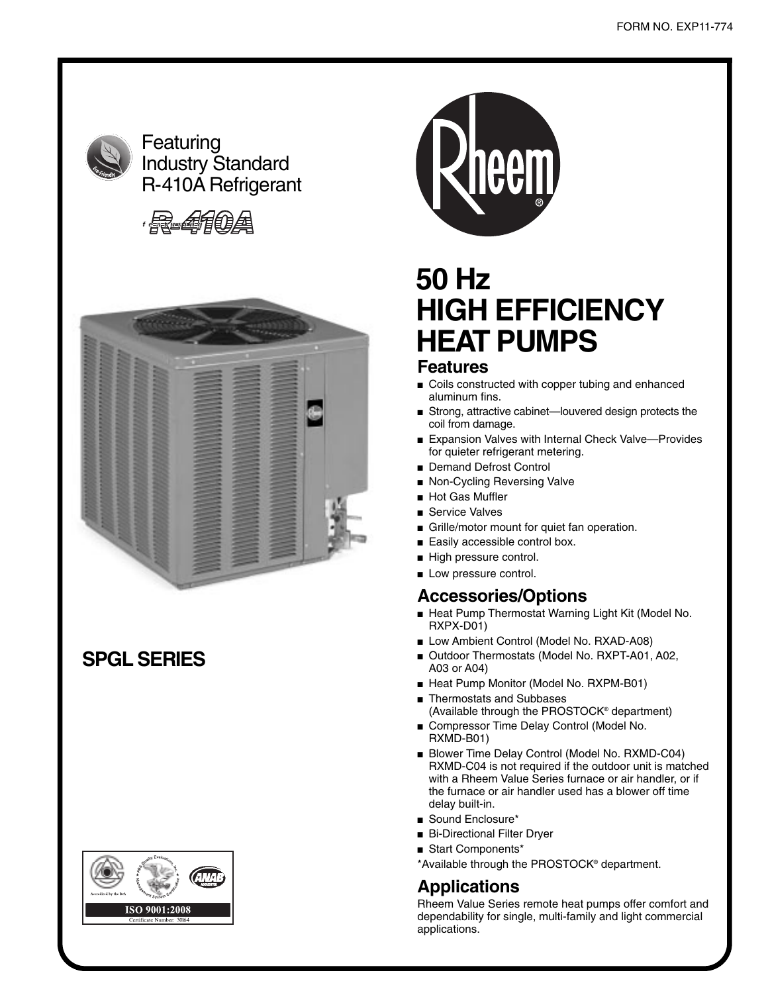

Featuring Industry Standard R-410A Refrigerant





# **SPGL SERIES**





# **50 Hz HIGH EFFICIENCY HEAT PUMPS**

#### **Features**

- Coils constructed with copper tubing and enhanced aluminum fins.
- Strong, attractive cabinet—louvered design protects the coil from damage.
- Expansion Valves with Internal Check Valve-Provides for quieter refrigerant metering.
- Demand Defrost Control
- Non-Cycling Reversing Valve
- Hot Gas Muffler
- Service Valves
- Grille/motor mount for quiet fan operation.
- Easily accessible control box.
- High pressure control.
- Low pressure control.

#### **Accessories/Options**

- Heat Pump Thermostat Warning Light Kit (Model No. RXPX-D01)
- Low Ambient Control (Model No. RXAD-A08)
- Outdoor Thermostats (Model No. RXPT-A01, A02, A03 or A04)
- Heat Pump Monitor (Model No. RXPM-B01)
- Thermostats and Subbases (Available through the PROSTOCK® department)
- Compressor Time Delay Control (Model No. RXMD-B01)
- Blower Time Delay Control (Model No. RXMD-C04) RXMD-C04 is not required if the outdoor unit is matched with a Rheem Value Series furnace or air handler, or if the furnace or air handler used has a blower off time delay built-in.
- Sound Enclosure\*
- Bi-Directional Filter Dryer
- Start Components\*
- \*Available through the PROSTOCK® department.

#### **Applications**

Rheem Value Series remote heat pumps offer comfort and dependability for single, multi-family and light commercial applications.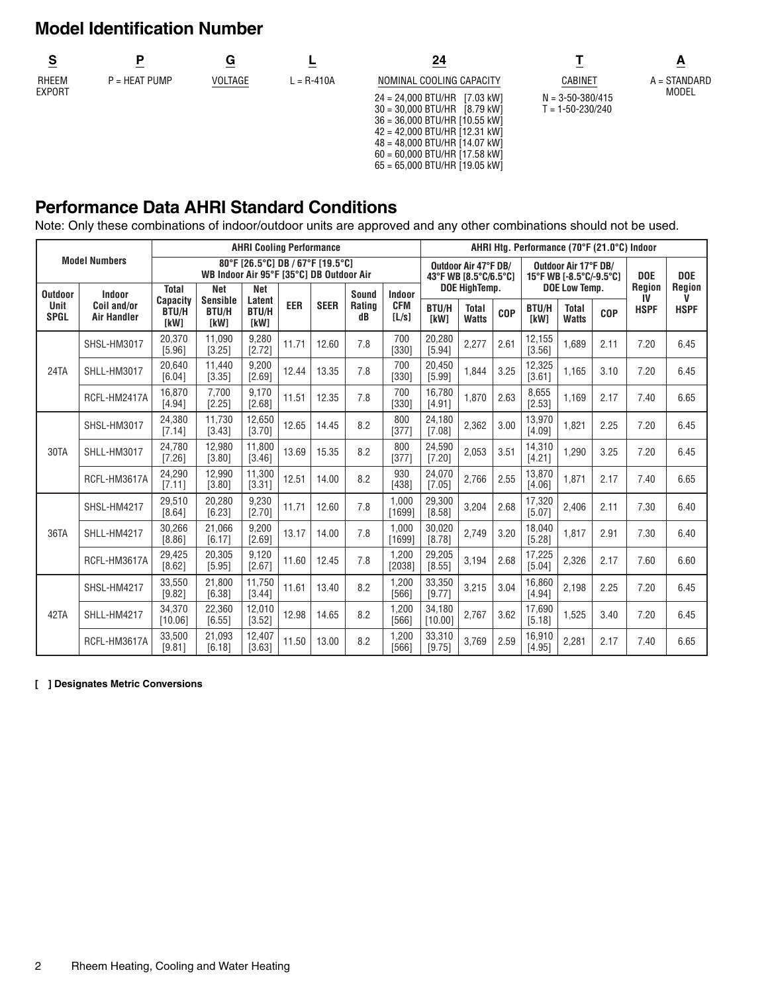# **Model Identification Number**

|                        |                 |                |                | 24                              |                        |                |
|------------------------|-----------------|----------------|----------------|---------------------------------|------------------------|----------------|
| RHEEM<br><b>EXPORT</b> | $P = HEAT$ PUMP | <b>VOLTAGE</b> | $L = R - 410A$ | NOMINAL COOLING CAPACITY        | CABINET                | $A = STANDARD$ |
|                        |                 |                |                | $24 = 24.000$ BTU/HR [7.03 kW]  | $N = 3 - 50 - 380/415$ | <b>MODEL</b>   |
|                        |                 |                |                | $30 = 30,000$ BTU/HR [8.79 kW]  | $T = 1 - 50 - 230/240$ |                |
|                        |                 |                |                | $36 = 36,000$ BTU/HR [10.55 kW] |                        |                |
|                        |                 |                |                | $42 = 42,000$ BTU/HR [12.31 kW] |                        |                |
|                        |                 |                |                | $48 = 48,000$ BTU/HR [14.07 kW] |                        |                |
|                        |                 |                |                | $60 = 60,000$ BTU/HR [17.58 kW] |                        |                |
|                        |                 |                |                | $65 = 65,000$ BTU/HR [19.05 kW] |                        |                |

### **Performance Data AHRI Standard Conditions**

Note: Only these combinations of indoor/outdoor units are approved and any other combinations should not be used.

|                                       |                                      | <b>AHRI Cooling Performance</b>                                              |                                                       |                                              |            |             |                              |                               |                                               |                                               |            | AHRI Hta. Performance (70°F (21.0°C) Indoor     |                                               |            |                             |                            |  |  |  |  |
|---------------------------------------|--------------------------------------|------------------------------------------------------------------------------|-------------------------------------------------------|----------------------------------------------|------------|-------------|------------------------------|-------------------------------|-----------------------------------------------|-----------------------------------------------|------------|-------------------------------------------------|-----------------------------------------------|------------|-----------------------------|----------------------------|--|--|--|--|
| <b>Model Numbers</b>                  |                                      | 80°F [26.5°C] DB / 67°F [19.5°C]<br>WB Indoor Air 95°F [35°C] DB Outdoor Air |                                                       |                                              |            |             |                              |                               | Outdoor Air 47°F DB/<br>43°F WB [8.5°C/6.5°C] |                                               |            | Outdoor Air 17°F DB/<br>15°F WB [-8.5°C/-9.5°C] |                                               |            | <b>DOE</b>                  | <b>DOE</b>                 |  |  |  |  |
| <b>Outdoor</b><br>Unit<br><b>SPGL</b> | Indoor<br>Coil and/or<br>Air Handler | <b>Total</b><br><b>Capacity</b><br><b>BTU/H</b><br>[kW]                      | <b>Net</b><br><b>Sensible</b><br><b>BTU/H</b><br>[kW] | <b>Net</b><br>Latent<br><b>BTU/H</b><br>[kW] | <b>EER</b> | <b>SEER</b> | Sound<br><b>Rating</b><br>dB | Indoor<br><b>CFM</b><br>[L/s] | <b>BTU/H</b><br><b>IkW1</b>                   | DOE HighTemp.<br><b>Total</b><br><b>Watts</b> | <b>COP</b> | BTU/H<br><b>TkW1</b>                            | DOE Low Temp.<br><b>Total</b><br><b>Watts</b> | <b>COP</b> | Region<br>IV<br><b>HSPF</b> | Region<br>V<br><b>HSPF</b> |  |  |  |  |
|                                       | SHSL-HM3017                          | 20.370<br>[5.96]                                                             | 11.090<br>[3.25]                                      | 9.280<br>[2.72]                              | 11.71      | 12.60       | 7.8                          | 700<br>[330]                  | 20.280<br>[5.94]                              | 2,277                                         | 2.61       | 12.155<br>[3.56]                                | 1.689                                         | 2.11       | 7.20                        | 6.45                       |  |  |  |  |
| 24TA                                  | SHLL-HM3017                          | 20,640<br>[6.04]                                                             | 11.440<br>[3.35]                                      | 9,200<br>[2.69]                              | 12.44      | 13.35       | 7.8                          | 700<br>[330]                  | 20,450<br>[5.99]                              | 1,844                                         | 3.25       | 12,325<br>[3.61]                                | 1,165                                         | 3.10       | 7.20                        | 6.45                       |  |  |  |  |
|                                       | RCFL-HM2417A                         | 16.870<br>[4.94]                                                             | 7.700<br>[2.25]                                       | 9.170<br>[2.68]                              | 11.51      | 12.35       | 7.8                          | 700<br>[330]                  | 16.780<br>[4.91]                              | 1.870                                         | 2.63       | 8,655<br>[2.53]                                 | 1,169                                         | 2.17       | 7.40                        | 6.65                       |  |  |  |  |
|                                       | SHSL-HM3017                          | 24,380<br>[7.14]                                                             | 11.730<br>[3.43]                                      | 12,650<br>[3.70]                             | 12.65      | 14.45       | 8.2                          | 800<br>[377]                  | 24,180<br>[7.08]                              | 2,362                                         | 3.00       | 13,970<br>[4.09]                                | 1,821                                         | 2.25       | 7.20                        | 6.45                       |  |  |  |  |
| 30TA                                  | SHLL-HM3017                          | 24,780<br>[7.26]                                                             | 12,980<br>[3.80]                                      | 11,800<br>[3.46]                             | 13.69      | 15.35       | 8.2                          | 800<br>[377]                  | 24,590<br>[7.20]                              | 2,053                                         | 3.51       | 14,310<br>[4.21]                                | 1.290                                         | 3.25       | 7.20                        | 6.45                       |  |  |  |  |
|                                       | RCFL-HM3617A                         | 24,290<br>[7.11]                                                             | 12.990<br>[3.80]                                      | 11.300<br>[3.31]                             | 12.51      | 14.00       | 8.2                          | 930<br>[438]                  | 24,070<br>[7.05]                              | 2,766                                         | 2.55       | 13.870<br>[4.06]                                | 1,871                                         | 2.17       | 7.40                        | 6.65                       |  |  |  |  |
|                                       | SHSL-HM4217                          | 29.510<br>[8.64]                                                             | 20.280<br>[6.23]                                      | 9,230<br>[2.70]                              | 11.71      | 12.60       | 7.8                          | 1.000<br>[1699]               | 29.300<br>[8.58]                              | 3,204                                         | 2.68       | 17,320<br>[5.07]                                | 2.406                                         | 2.11       | 7.30                        | 6.40                       |  |  |  |  |
| 36TA                                  | SHLL-HM4217                          | 30,266<br>[8.86]                                                             | 21.066<br>[6.17]                                      | 9,200<br>[2.69]                              | 13.17      | 14.00       | 7.8                          | 1.000<br>[1699]               | 30,020<br>[8.78]                              | 2,749                                         | 3.20       | 18.040<br>[5.28]                                | 1.817                                         | 2.91       | 7.30                        | 6.40                       |  |  |  |  |
|                                       | RCFL-HM3617A                         | 29,425<br>[8.62]                                                             | 20,305<br>[5.95]                                      | 9,120<br>[2.67]                              | 11.60      | 12.45       | 7.8                          | 1,200<br>[2038]               | 29,205<br>[8.55]                              | 3,194                                         | 2.68       | 17,225<br>[5.04]                                | 2,326                                         | 2.17       | 7.60                        | 6.60                       |  |  |  |  |
|                                       | SHSL-HM4217                          | 33,550<br>[9.82]                                                             | 21.800<br>[6.38]                                      | 11.750<br>[3.44]                             | 11.61      | 13.40       | 8.2                          | 1.200<br>$[566]$              | 33,350<br>[9.77]                              | 3,215                                         | 3.04       | 16,860<br>[4.94]                                | 2,198                                         | 2.25       | 7.20                        | 6.45                       |  |  |  |  |
| 42TA                                  | SHLL-HM4217                          | 34,370<br>[10.06]                                                            | 22,360<br>[6.55]                                      | 12,010<br>[3.52]                             | 12.98      | 14.65       | 8.2                          | 1,200<br>[566]                | 34,180<br>[10.00]                             | 2,767                                         | 3.62       | 17,690<br>[5.18]                                | 1.525                                         | 3.40       | 7.20                        | 6.45                       |  |  |  |  |
|                                       | RCFL-HM3617A                         | 33,500<br>[9.81]                                                             | 21.093<br>[6.18]                                      | 12,407<br>[3.63]                             | 11.50      | 13.00       | 8.2                          | 1,200<br>[566]                | 33,310<br>[9.75]                              | 3,769                                         | 2.59       | 16,910<br>[4.95]                                | 2,281                                         | 2.17       | 7.40                        | 6.65                       |  |  |  |  |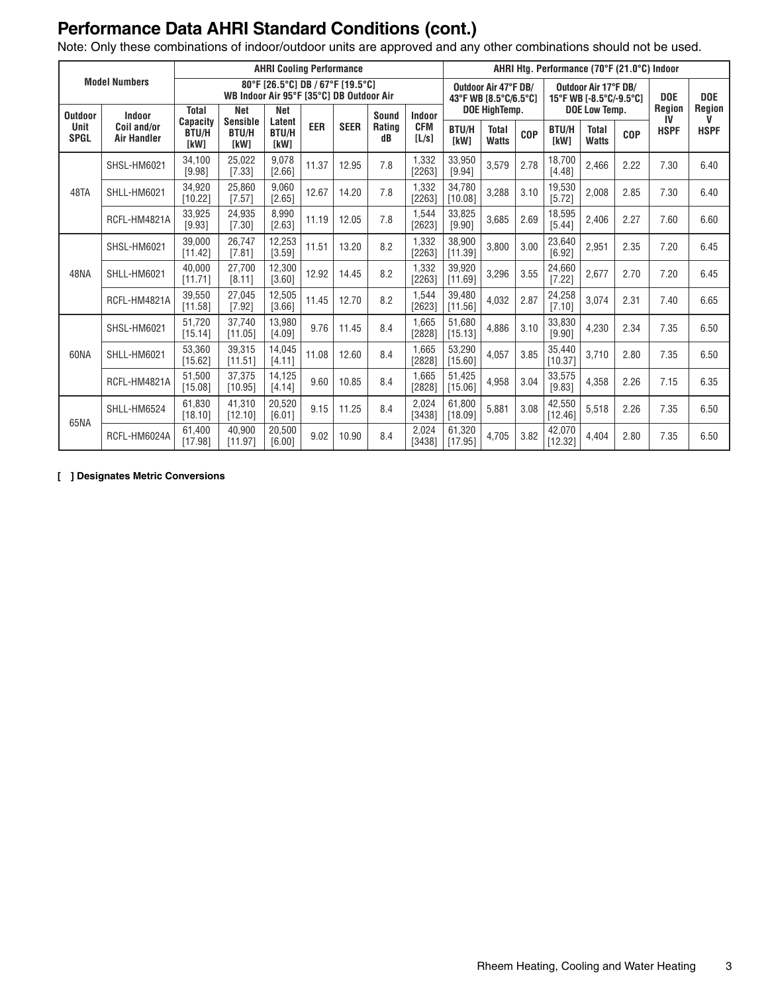# **Performance Data AHRI Standard Conditions (cont.)**

Note: Only these combinations of indoor/outdoor units are approved and any other combinations should not be used.

| <b>Model Numbers</b>       |                                   | <b>AHRI Cooling Performance</b>                                              |                               |                             |       |             |              |                     |                                                                                                                |                              |            | AHRI Htg. Performance (70°F (21.0°C) Indoor |                              |            |             |                    |
|----------------------------|-----------------------------------|------------------------------------------------------------------------------|-------------------------------|-----------------------------|-------|-------------|--------------|---------------------|----------------------------------------------------------------------------------------------------------------|------------------------------|------------|---------------------------------------------|------------------------------|------------|-------------|--------------------|
|                            |                                   | 80°F [26.5°C] DB / 67°F [19.5°C]<br>WB Indoor Air 95°F [35°C] DB Outdoor Air |                               |                             |       |             |              |                     | Outdoor Air 47°F DB/<br>Outdoor Air 17°F DB/<br><b>DOE</b><br>43°F WB [8.5°C/6.5°C]<br>15°F WB [-8.5°C/-9.5°C] |                              |            |                                             | <b>Region</b>                | <b>DOE</b> |             |                    |
| <b>Outdoor</b>             | Indoor                            | <b>Total</b><br><b>Capacity</b>                                              | <b>Net</b><br><b>Sensible</b> | Net<br>Latent               |       |             | Sound        | Indoor              |                                                                                                                | DOE HighTemp.                |            |                                             | DOE Low Temp.                |            |             | <b>Region</b><br>V |
| <b>Unit</b><br><b>SPGL</b> | Coil and/or<br><b>Air Handler</b> | <b>BTU/H</b><br>[kW]                                                         | <b>BTU/H</b><br><b>TkW1</b>   | <b>BTU/H</b><br><b>TkW1</b> | EER   | <b>SEER</b> | Rating<br>dB | <b>CFM</b><br>[L/s] | <b>BTU/H</b><br>[kW]                                                                                           | <b>Total</b><br><b>Watts</b> | <b>COP</b> | <b>BTU/H</b><br><b>IkW1</b>                 | <b>Total</b><br><b>Watts</b> | <b>COP</b> | <b>HSPF</b> | <b>HSPF</b>        |
|                            | SHSL-HM6021                       | 34,100<br>[9.98]                                                             | 25.022<br>[7.33]              | 9.078<br>[2.66]             | 11.37 | 12.95       | 7.8          | 1.332<br>[2263]     | 33,950<br>[9.94]                                                                                               | 3.579                        | 2.78       | 18.700<br>[4.48]                            | 2,466                        | 2.22       | 7.30        | 6.40               |
| 48TA                       | SHLL-HM6021                       | 34.920<br>[10.22]                                                            | 25.860<br>[7.57]              | 9.060<br>[2.65]             | 12.67 | 14.20       | 7.8          | 1.332<br>[2263]     | 34.780<br>[10.08]                                                                                              | 3,288                        | 3.10       | 19,530<br>[5.72]                            | 2,008                        | 2.85       | 7.30        | 6.40               |
|                            | RCFL-HM4821A                      | 33,925<br>[9.93]                                                             | 24.935<br>[7.30]              | 8.990<br>[2.63]             | 11.19 | 12.05       | 7.8          | 1.544<br>[2623]     | 33,825<br>[9.90]                                                                                               | 3.685                        | 2.69       | 18,595<br>[5.44]                            | 2.406                        | 2.27       | 7.60        | 6.60               |
|                            | SHSL-HM6021                       | 39.000<br>[11.42]                                                            | 26.747<br>[7.81]              | 12,253<br>[3.59]            | 11.51 | 13.20       | 8.2          | 1.332<br>[2263]     | 38.900<br>[11.39]                                                                                              | 3.800                        | 3.00       | 23,640<br>[6.92]                            | 2,951                        | 2.35       | 7.20        | 6.45               |
| 48NA                       | SHLL-HM6021                       | 40.000<br>[11.71]                                                            | 27.700<br>[8.11]              | 12,300<br>[3.60]            | 12.92 | 14.45       | 8.2          | 1.332<br>[2263]     | 39.920<br>[11.69]                                                                                              | 3,296                        | 3.55       | 24,660<br>[7.22]                            | 2,677                        | 2.70       | 7.20        | 6.45               |
|                            | RCFL-HM4821A                      | 39,550<br>[11.58]                                                            | 27,045<br>[7.92]              | 12,505<br>[3.66]            | 11.45 | 12.70       | 8.2          | 1.544<br>[2623]     | 39,480<br>[11.56]                                                                                              | 4,032                        | 2.87       | 24,258<br>[7.10]                            | 3,074                        | 2.31       | 7.40        | 6.65               |
|                            | SHSL-HM6021                       | 51.720<br>[15.14]                                                            | 37.740<br>[11.05]             | 13.980<br>[4.09]            | 9.76  | 11.45       | 8.4          | 1.665<br>[2828]     | 51.680<br>[15.13]                                                                                              | 4,886                        | 3.10       | 33.830<br>[9.90]                            | 4,230                        | 2.34       | 7.35        | 6.50               |
| 60NA                       | SHLL-HM6021                       | 53.360<br>[15.62]                                                            | 39.315<br>[11.51]             | 14,045<br>[4.11]            | 11.08 | 12.60       | 8.4          | 1.665<br>[2828]     | 53,290<br>[15.60]                                                                                              | 4,057                        | 3.85       | 35,440<br>[10.37]                           | 3,710                        | 2.80       | 7.35        | 6.50               |
|                            | RCFL-HM4821A                      | 51.500<br>[15.08]                                                            | 37.375<br>[10.95]             | 14,125<br>[4.14]            | 9.60  | 10.85       | 8.4          | 1.665<br>[2828]     | 51,425<br>[15.06]                                                                                              | 4,958                        | 3.04       | 33,575<br>[9.83]                            | 4,358                        | 2.26       | 7.15        | 6.35               |
| 65NA                       | SHLL-HM6524                       | 61.830<br>[18.10]                                                            | 41.310<br>[12.10]             | 20,520<br>[6.01]            | 9.15  | 11.25       | 8.4          | 2.024<br>[3438]     | 61.800<br>[18.09]                                                                                              | 5,881                        | 3.08       | 42,550<br>[12.46]                           | 5,518                        | 2.26       | 7.35        | 6.50               |
|                            | RCFL-HM6024A                      | 61.400<br>[17.98]                                                            | 40.900<br>[11.97]             | 20,500<br>[6.00]            | 9.02  | 10.90       | 8.4          | 2.024<br>[3438]     | 61.320<br>[17.95]                                                                                              | 4,705                        | 3.82       | 42.070<br>[12.32]                           | 4,404                        | 2.80       | 7.35        | 6.50               |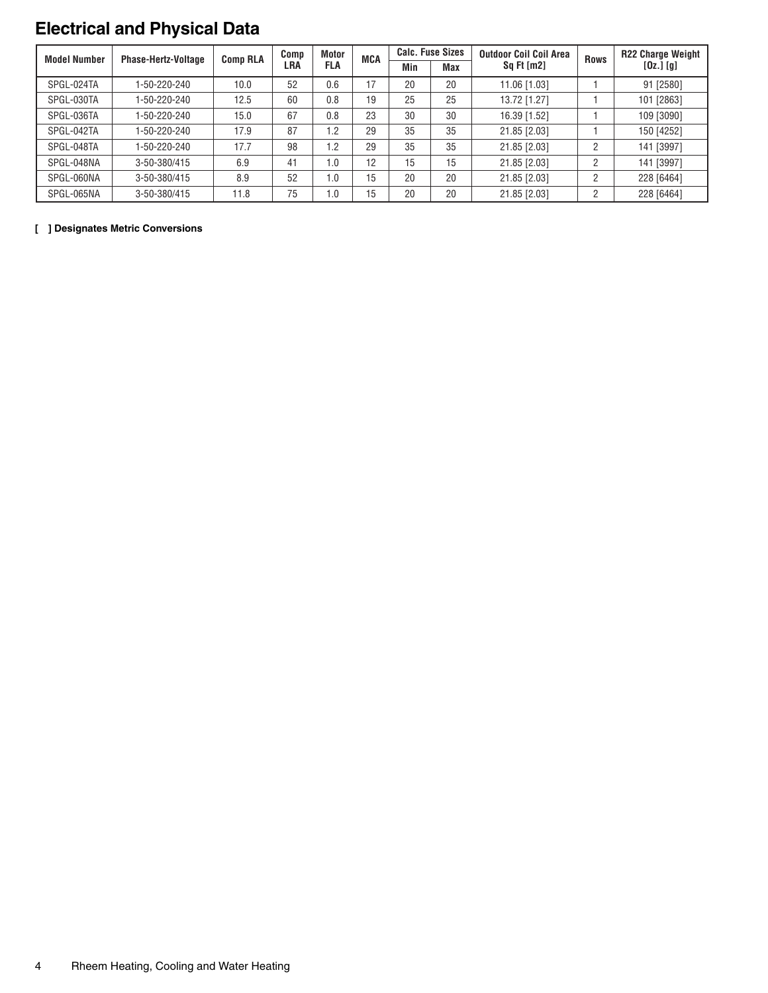# **Electrical and Physical Data**

| <b>Model Number</b> | <b>Phase-Hertz-Voltage</b> | <b>Comp RLA</b> | Comp | Motor | <b>MCA</b> | <b>Calc. Fuse Sizes</b> |            | <b>Outdoor Coil Coil Area</b> | <b>Rows</b>    | <b>R22 Charge Weight</b> |
|---------------------|----------------------------|-----------------|------|-------|------------|-------------------------|------------|-------------------------------|----------------|--------------------------|
|                     |                            |                 | LRA  | FLA   |            | Min                     | <b>Max</b> | $Sq$ Ft $[m2]$                |                | $[0z.]$ $[g]$            |
| SPGL-024TA          | 1-50-220-240               | 10.0            | 52   | 0.6   | 17         | 20                      | 20         | 11.06 [1.03]                  |                | 91 [2580]                |
| SPGL-030TA          | 1-50-220-240               | 12.5            | 60   | 0.8   | 19         | 25                      | 25         | 13.72 [1.27]                  |                | 101 [2863]               |
| SPGL-036TA          | 1-50-220-240               | 15.0            | 67   | 0.8   | 23         | 30                      | 30         | 16.39 [1.52]                  |                | 109 [3090]               |
| SPGL-042TA          | 1-50-220-240               | 17.9            | 87   | 1.2   | 29         | 35                      | 35         | 21.85 [2.03]                  |                | 150 [4252]               |
| SPGL-048TA          | 1-50-220-240               | 17.7            | 98   | 1.2   | 29         | 35                      | 35         | 21.85 [2.03]                  | $\overline{2}$ | 141 [3997]               |
| SPGL-048NA          | 3-50-380/415               | 6.9             | 41   | 0.1   | 12         | 15                      | 15         | 21.85 [2.03]                  | C.             | 141 [3997]               |
| SPGL-060NA          | 3-50-380/415               | 8.9             | 52   | 1.0   | 15         | 20                      | 20         | 21.85 [2.03]                  | C.             | 228 [6464]               |
| SPGL-065NA          | 3-50-380/415               | 11.8            | 75   | 1.0   | 15         | 20                      | 20         | 21.85 [2.03]                  | C.             | 228 [6464]               |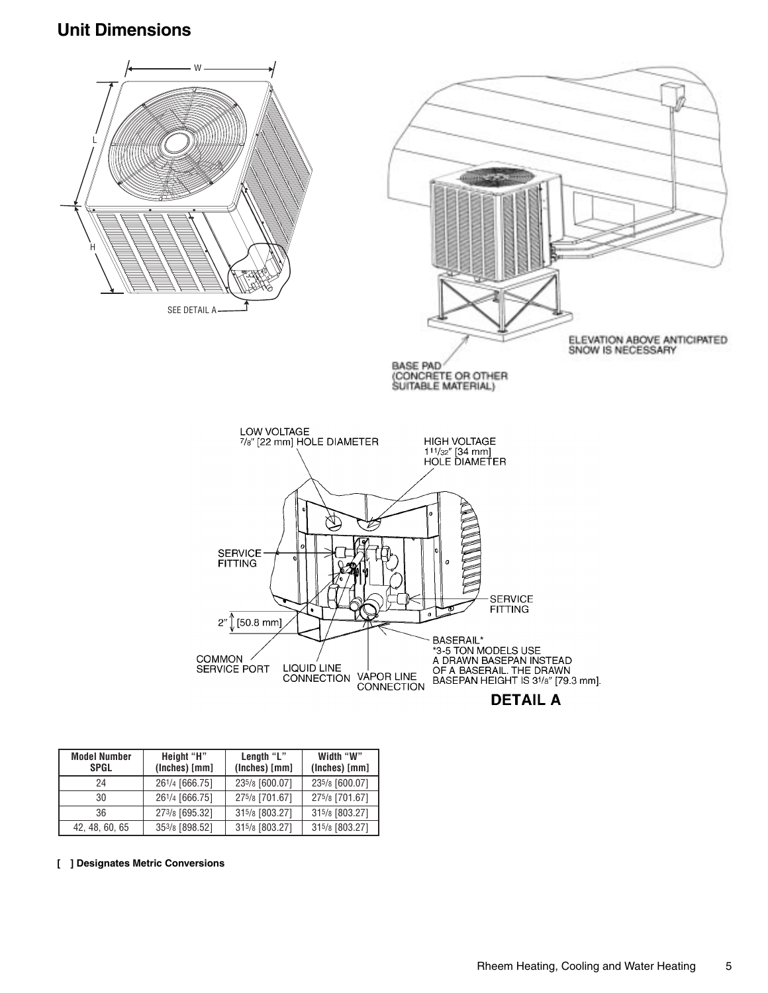### **Unit Dimensions**



| ı |  |  |  |  |  |
|---|--|--|--|--|--|
|---|--|--|--|--|--|

| <b>Model Number</b><br><b>SPGL</b> | Height "H"<br>(Inches) [mm] | Length "L"<br>(Inches) [mm] | Width "W"<br>(Inches) [mm] |
|------------------------------------|-----------------------------|-----------------------------|----------------------------|
| 24                                 | 261/4 [666.75]              | 235/8 [600.07]              | 235/8 [600.07]             |
| 30                                 | 261/4 [666.75]              | 275/8 [701.67]              | 275/8 [701.67]             |
| 36                                 | 273/8 [695.32]              | 315/8 [803.27]              | 315/8 [803.27]             |
| 42, 48, 60, 65                     | 353/8 [898.52]              | 315/8 [803.27]              | 315/8 [803.27]             |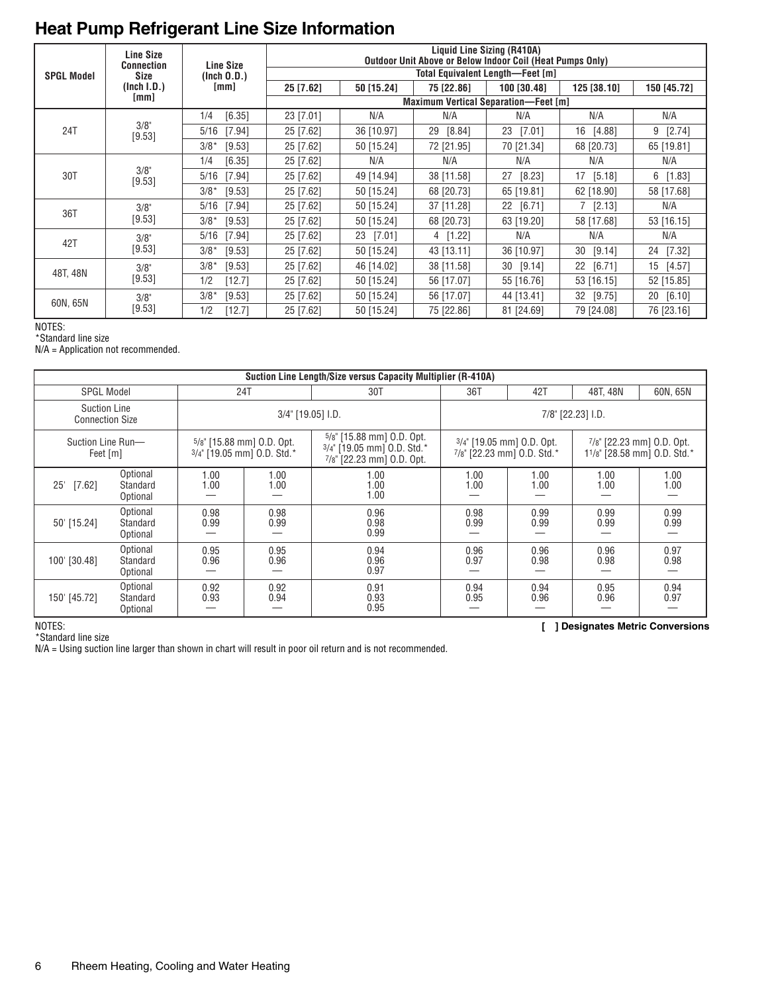# **Heat Pump Refrigerant Line Size Information**

|                   | <b>Line Size</b><br><b>Connection</b> | <b>Line Size</b> | Liquid Line Sizing (R410A)<br>Outdoor Unit Above or Below Indoor Coil (Heat Pumps Only) |              |              |                                  |              |              |  |  |  |
|-------------------|---------------------------------------|------------------|-----------------------------------------------------------------------------------------|--------------|--------------|----------------------------------|--------------|--------------|--|--|--|
| <b>SPGL Model</b> | Size                                  | (Inch 0.D.)      |                                                                                         |              |              | Total Equivalent Length—Feet [m] |              |              |  |  |  |
|                   | (Inch I.D.)                           | [mm]             | 25 [7.62]                                                                               | 50 [15.24]   | 75 [22.86]   | 100 [30.48]                      | 125 [38.10]  | 150 [45.72]  |  |  |  |
|                   | [mm]                                  |                  | <b>Maximum Vertical Separation-Feet [m]</b>                                             |              |              |                                  |              |              |  |  |  |
|                   |                                       | [6.35]<br>1/4    | 23 [7.01]                                                                               | N/A          | N/A          | N/A                              | N/A          | N/A          |  |  |  |
| 24T               | 3/8"<br>[9.53]                        | 5/16<br>[7.94]   | 25 [7.62]                                                                               | 36 [10.97]   | [8.84]<br>29 | 23<br>[7.01]                     | 16<br>[4.88] | $9$ [2.74]   |  |  |  |
|                   |                                       | $3/8*$<br>[9.53] | 25 [7.62]                                                                               | 50 [15.24]   | 72 [21.95]   | 70 [21.34]                       | 68 [20.73]   | 65 [19.81]   |  |  |  |
| 30T               |                                       | [6.35]<br>1/4    | 25 [7.62]                                                                               | N/A          | N/A          | N/A                              | N/A          | N/A          |  |  |  |
|                   | 3/8"<br>[9.53]                        | 5/16<br>[7.94]   | 25 [7.62]                                                                               | 49 [14.94]   | 38 [11.58]   | 27<br>[8.23]                     | [5.18]<br>17 | $6$ [1.83]   |  |  |  |
|                   |                                       | $3/8*$<br>[9.53] | 25 [7.62]                                                                               | 50 [15.24]   | 68 [20.73]   | 65 [19.81]                       | 62 [18.90]   | 58 [17.68]   |  |  |  |
| 36T               | 3/8"                                  | 5/16<br>[7.94]   | 25 [7.62]                                                                               | 50 [15.24]   | 37 [11.28]   | 22 [6.71]                        | $7$ [2.13]   | N/A          |  |  |  |
|                   | [9.53]                                | $3/8*$<br>[9.53] | 25 [7.62]                                                                               | 50 [15.24]   | 68 [20.73]   | 63 [19.20]                       | 58 [17.68]   | 53 [16.15]   |  |  |  |
| 42T               | 3/8"                                  | [7.94]<br>5/16   | 25 [7.62]                                                                               | [7.01]<br>23 | 4 [1.22]     | N/A                              | N/A          | N/A          |  |  |  |
|                   | [9.53]                                | $3/8*$<br>[9.53] | 25 [7.62]                                                                               | 50 [15.24]   | 43 [13.11]   | 36 [10.97]                       | 30<br>[9.14] | 24 [7.32]    |  |  |  |
| 48T, 48N          | 3/8"                                  | $3/8*$<br>[9.53] | 25 [7.62]                                                                               | 46 [14.02]   | 38 [11.58]   | [9.14]<br>30                     | 22 [6.71]    | 15<br>[4.57] |  |  |  |
|                   | [9.53]                                | [12.7]<br>1/2    | 25 [7.62]                                                                               | 50 [15.24]   | 56 [17.07]   | 55 [16.76]                       | 53 [16.15]   | 52 [15.85]   |  |  |  |
|                   | 3/8"                                  | $3/8*$<br>[9.53] | 25 [7.62]                                                                               | 50 [15.24]   | 56 [17.07]   | 44 [13.41]                       | 32 [9.75]    | 20 [6.10]    |  |  |  |
| 60N, 65N          | $[9.53]$                              | 1/2<br>[12.7]    | 25 [7.62]                                                                               | 50 [15.24]   | 75 [22.86]   | 81 [24.69]                       | 79 [24.08]   | 76 [23.16]   |  |  |  |

NOTES:

\*Standard line size

N/A = Application not recommended.

|                                               |                                  |                            |                           | Suction Line Length/Size versus Capacity Multiplier (R-410A)                                   |                                                         |              |                   |                                                          |
|-----------------------------------------------|----------------------------------|----------------------------|---------------------------|------------------------------------------------------------------------------------------------|---------------------------------------------------------|--------------|-------------------|----------------------------------------------------------|
| <b>SPGL Model</b>                             |                                  | 24T<br>30T                 |                           |                                                                                                | 36T                                                     | 42T          | 48T, 48N          | 60N, 65N                                                 |
| <b>Suction Line</b><br><b>Connection Size</b> |                                  |                            | 3/4" [19.05] I.D.         |                                                                                                |                                                         |              | 7/8" [22.23] I.D. |                                                          |
| Suction Line Run-<br>Feet [m]                 |                                  | 3/4" [19.05 mm] O.D. Std.* | 5/8" [15.88 mm] O.D. Opt. | $5\frac{1}{8}$ [15.88 mm] 0.D. Opt.<br>3/4" [19.05 mm] O.D. Std.*<br>7/8" [22.23 mm] O.D. Opt. | 3/4" [19.05 mm] O.D. Opt.<br>7/8" [22.23 mm] 0.D. Std.* |              |                   | 7/8" [22.23 mm] O.D. Opt.<br>11/8" [28.58 mm] O.D. Std.* |
| $[7.62]$<br>25                                | Optional<br>Standard<br>Optional | 1.00<br>1.00               | 1.00<br>1.00              | 1.00<br>1.00<br>1.00                                                                           | 1.00<br>1.00                                            | 1.00<br>1.00 | 1.00<br>1.00      | 1.00<br>1.00                                             |
| 50' [15.24]                                   | Optional<br>Standard<br>Optional | 0.98<br>0.99               | 0.98<br>0.99              | 0.96<br>0.98<br>0.99                                                                           | 0.98<br>0.99                                            | 0.99<br>0.99 | 0.99<br>0.99      | 0.99<br>0.99                                             |
| 100' [30.48]                                  | Optional<br>Standard<br>Optional | 0.95<br>0.96               | 0.95<br>0.96              | 0.94<br>0.96<br>0.97                                                                           | 0.96<br>0.97                                            | 0.96<br>0.98 | 0.96<br>0.98      | 0.97<br>0.98                                             |
| 150' [45.72]                                  | Optional<br>Standard<br>Optional | 0.92<br>0.93               | 0.92<br>0.94              | 0.91<br>0.93<br>0.95                                                                           | 0.94<br>0.95                                            | 0.94<br>0.96 | 0.95<br>0.96      | 0.94<br>0.97                                             |

\*Standard line size

N/A = Using suction line larger than shown in chart will result in poor oil return and is not recommended.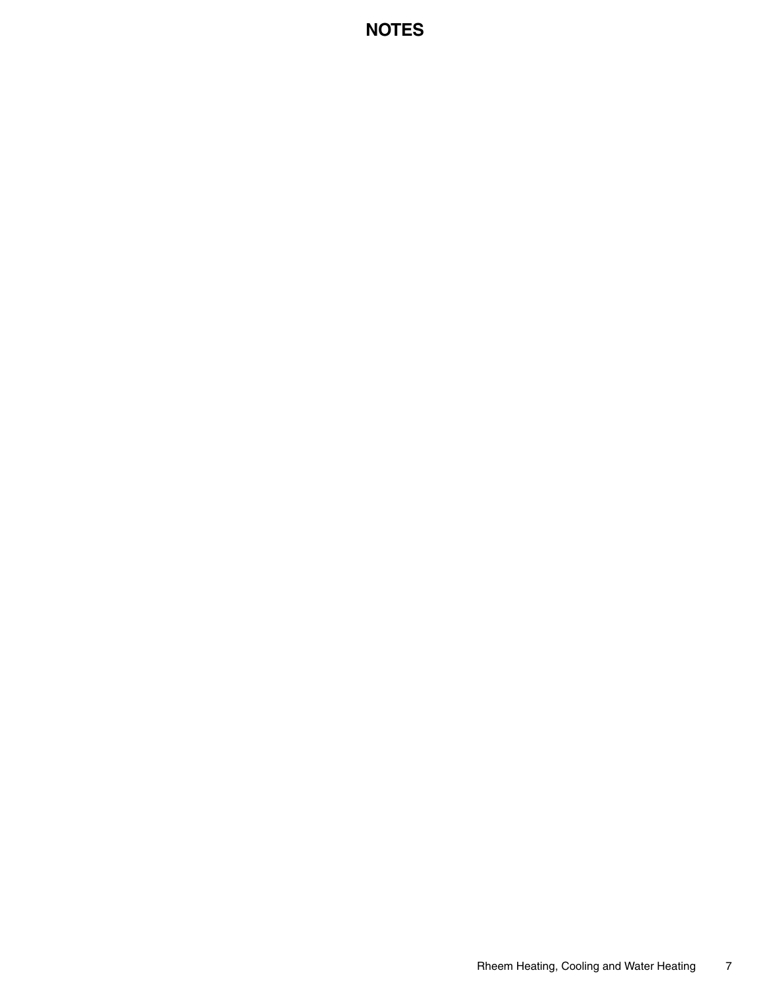### **NOTES**